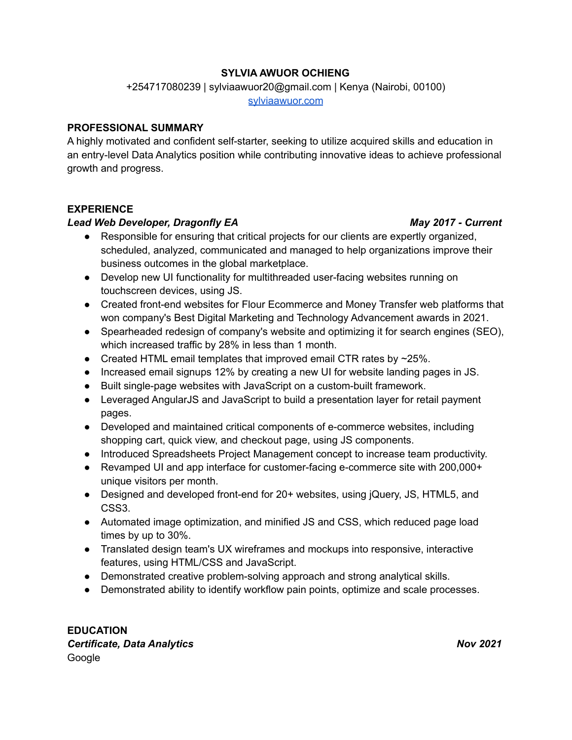# **SYLVIA AWUOR OCHIENG**

+254717080239 | sylviaawuor20@gmail.com | Kenya (Nairobi, 00100)

[sylviaawuor.com](https://sylviaawuor.com/)

## **PROFESSIONAL SUMMARY**

A highly motivated and confident self-starter, seeking to utilize acquired skills and education in an entry-level Data Analytics position while contributing innovative ideas to achieve professional growth and progress.

## **EXPERIENCE**

## *Lead Web Developer, Dragonfly EA May 2017 - Current*

# ● Responsible for ensuring that critical projects for our clients are expertly organized, scheduled, analyzed, communicated and managed to help organizations improve their business outcomes in the global marketplace.

- Develop new UI functionality for multithreaded user-facing websites running on touchscreen devices, using JS.
- Created front-end websites for Flour Ecommerce and Money Transfer web platforms that won company's Best Digital Marketing and Technology Advancement awards in 2021.
- Spearheaded redesign of company's website and optimizing it for search engines (SEO), which increased traffic by 28% in less than 1 month.
- Created HTML email templates that improved email CTR rates by  $\sim$ 25%.
- Increased email signups 12% by creating a new UI for website landing pages in JS.
- Built single-page websites with JavaScript on a custom-built framework.
- Leveraged AngularJS and JavaScript to build a presentation layer for retail payment pages.
- Developed and maintained critical components of e-commerce websites, including shopping cart, quick view, and checkout page, using JS components.
- Introduced Spreadsheets Project Management concept to increase team productivity.
- Revamped UI and app interface for customer-facing e-commerce site with 200,000+ unique visitors per month.
- Designed and developed front-end for 20+ websites, using jQuery, JS, HTML5, and CSS3.
- Automated image optimization, and minified JS and CSS, which reduced page load times by up to 30%.
- Translated design team's UX wireframes and mockups into responsive, interactive features, using HTML/CSS and JavaScript.
- Demonstrated creative problem-solving approach and strong analytical skills.
- Demonstrated ability to identify workflow pain points, optimize and scale processes.

**EDUCATION** *Certificate, Data Analytics Nov 2021* Google